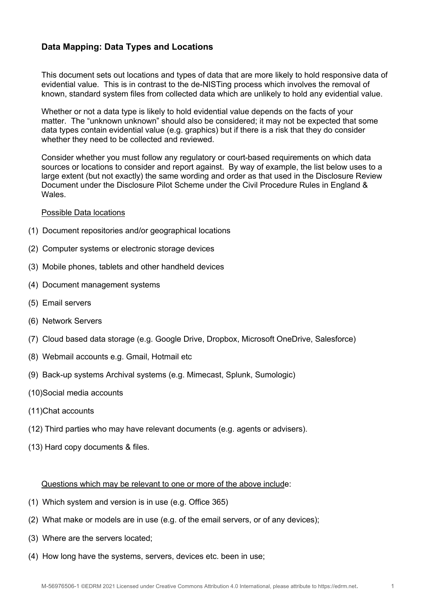## **Data Mapping: Data Types and Locations**

This document sets out locations and types of data that are more likely to hold responsive data of evidential value. This is in contrast to the de-NISTing process which involves the removal of known, standard system files from collected data which are unlikely to hold any evidential value.

Whether or not a data type is likely to hold evidential value depends on the facts of your matter. The "unknown unknown" should also be considered; it may not be expected that some data types contain evidential value (e.g. graphics) but if there is a risk that they do consider whether they need to be collected and reviewed.

Consider whether you must follow any regulatory or court-based requirements on which data sources or locations to consider and report against. By way of example, the list below uses to a large extent (but not exactly) the same wording and order as that used in the Disclosure Review Document under the Disclosure Pilot Scheme under the Civil Procedure Rules in England & **Wales** 

## Possible Data locations

- (1) Document repositories and/or geographical locations
- (2) Computer systems or electronic storage devices
- (3) Mobile phones, tablets and other handheld devices
- (4) Document management systems
- (5) Email servers
- (6) Network Servers
- (7) Cloud based data storage (e.g. Google Drive, Dropbox, Microsoft OneDrive, Salesforce)
- (8) Webmail accounts e.g. Gmail, Hotmail etc
- (9) Back-up systems Archival systems (e.g. Mimecast, Splunk, Sumologic)
- (10)Social media accounts
- (11)Chat accounts
- (12) Third parties who may have relevant documents (e.g. agents or advisers).
- (13) Hard copy documents & files.

## Questions which may be relevant to one or more of the above include:

- (1) Which system and version is in use (e.g. Office 365)
- (2) What make or models are in use (e.g. of the email servers, or of any devices);
- (3) Where are the servers located;
- (4) How long have the systems, servers, devices etc. been in use;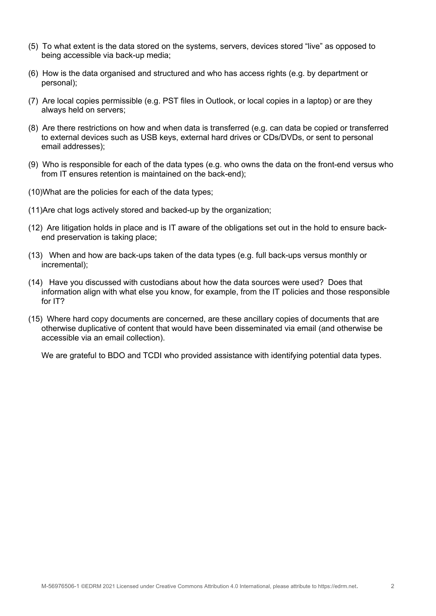- (5) To what extent is the data stored on the systems, servers, devices stored "live" as opposed to being accessible via back-up media;
- (6) How is the data organised and structured and who has access rights (e.g. by department or personal);
- (7) Are local copies permissible (e.g. PST files in Outlook, or local copies in a laptop) or are they always held on servers;
- (8) Are there restrictions on how and when data is transferred (e.g. can data be copied or transferred to external devices such as USB keys, external hard drives or CDs/DVDs, or sent to personal email addresses);
- (9) Who is responsible for each of the data types (e.g. who owns the data on the front-end versus who from IT ensures retention is maintained on the back-end);
- (10)What are the policies for each of the data types;
- (11)Are chat logs actively stored and backed-up by the organization;
- (12) Are litigation holds in place and is IT aware of the obligations set out in the hold to ensure backend preservation is taking place;
- (13) When and how are back-ups taken of the data types (e.g. full back-ups versus monthly or incremental);
- (14) Have you discussed with custodians about how the data sources were used? Does that information align with what else you know, for example, from the IT policies and those responsible for IT?
- (15) Where hard copy documents are concerned, are these ancillary copies of documents that are otherwise duplicative of content that would have been disseminated via email (and otherwise be accessible via an email collection).

We are grateful to BDO and TCDI who provided assistance with identifying potential data types.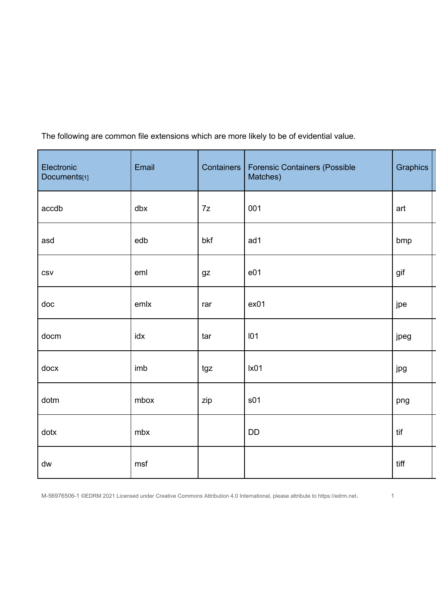The following are common file extensions which are more likely to be of evidential value.

| Electronic<br>Documents[1] | Email | Containers | <b>Forensic Containers (Possible</b><br>Matches) | Graphics |
|----------------------------|-------|------------|--------------------------------------------------|----------|
| accdb                      | dbx   | $7z$       | 001                                              | art      |
| asd                        | edb   | bkf        | ad1                                              | bmp      |
| <b>CSV</b>                 | eml   | gz         | e01                                              | gif      |
| doc                        | emlx  | rar        | ex01                                             | jpe      |
| docm                       | idx   | tar        | 101                                              | jpeg     |
| docx                       | imb   | tgz        | lx01                                             | jpg      |
| dotm                       | mbox  | zip        | s01                                              | png      |
| dotx                       | mbx   |            | DD                                               | tif      |
| dw                         | msf   |            |                                                  | tiff     |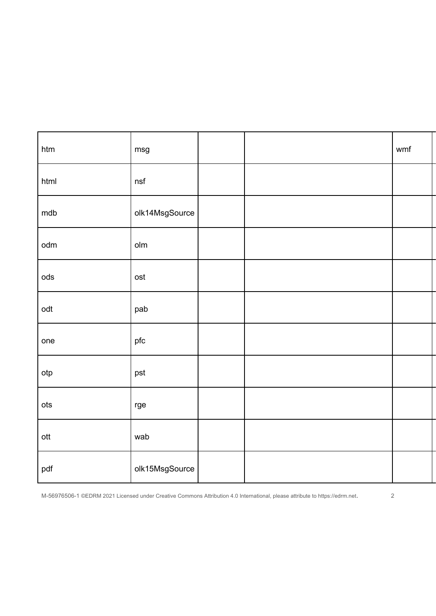| htm             | msg            |  | wmf |  |
|-----------------|----------------|--|-----|--|
| html            | nsf            |  |     |  |
| mdb             | olk14MsgSource |  |     |  |
| odm             | olm            |  |     |  |
| $\rm ods$       | ost            |  |     |  |
| odt             | pab            |  |     |  |
| one             | pfc            |  |     |  |
| otp             | pst            |  |     |  |
| ots             | rge            |  |     |  |
| $_{\text{ott}}$ | wab            |  |     |  |
| pdf             | olk15MsgSource |  |     |  |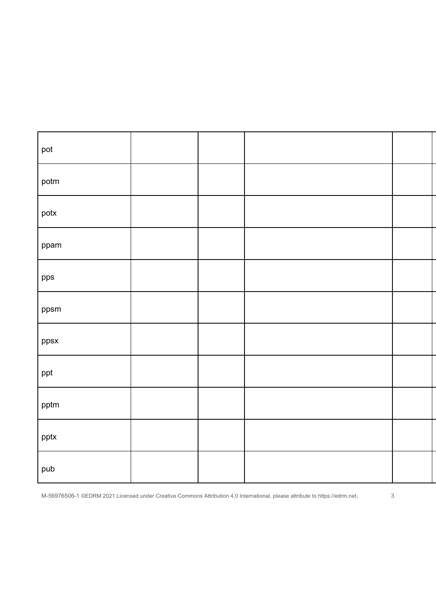| pot  |  |  |
|------|--|--|
| potm |  |  |
| potx |  |  |
| ppam |  |  |
| pps  |  |  |
| ppsm |  |  |
| ppsx |  |  |
| ppt  |  |  |
| pptm |  |  |
| pptx |  |  |
| pub  |  |  |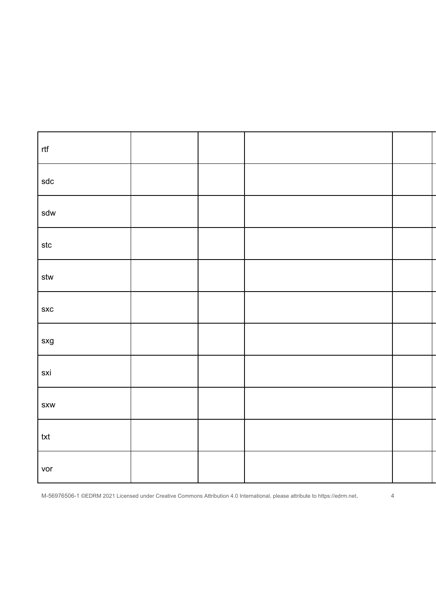| rtf                           |  |  |
|-------------------------------|--|--|
| $\operatorname{\mathsf{sdc}}$ |  |  |
| sdw                           |  |  |
| $\sf stc$                     |  |  |
| $\operatorname{\textsf{stw}}$ |  |  |
| SXC                           |  |  |
| ${\sf s} {\sf x} {\sf g}$     |  |  |
| sxi                           |  |  |
| <b>SXW</b>                    |  |  |
| txt                           |  |  |
| vor                           |  |  |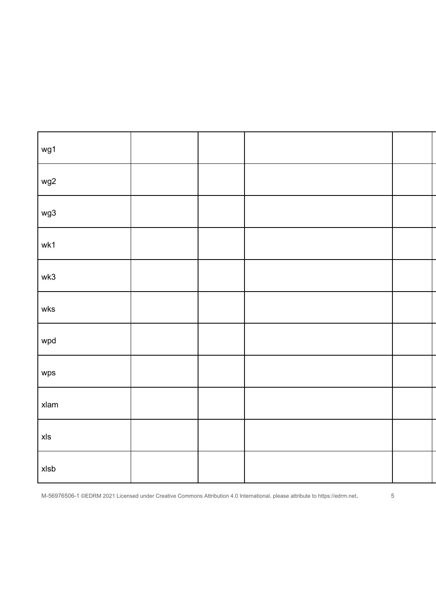| wg1                                          |  |  |
|----------------------------------------------|--|--|
| wg2                                          |  |  |
| wg3                                          |  |  |
| wk1                                          |  |  |
| wk3                                          |  |  |
| wks                                          |  |  |
| wpd                                          |  |  |
| wps                                          |  |  |
| $x$ lam                                      |  |  |
| $\pmb{\times} \pmb{\hspace{.08em}\text{ls}}$ |  |  |
| xlsb                                         |  |  |